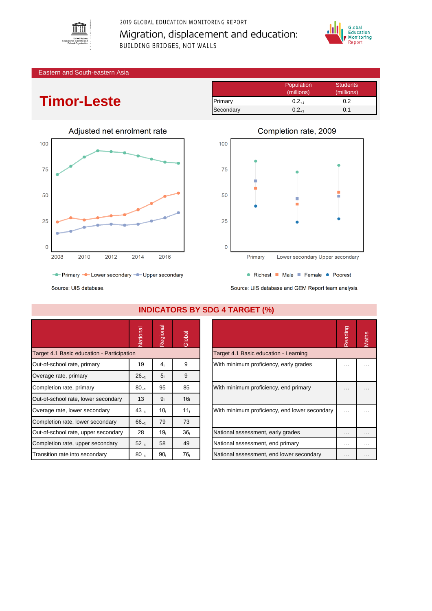

2019 GLOBAL EDUCATION MONITORING REPORT Migration, displacement and education: BUILDING BRIDGES, NOT WALLS



#### Eastern and South-eastern Asia

# **Timor-Leste**

|           | Population | <b>Students</b> |
|-----------|------------|-----------------|
|           | (millions) | (millions)      |
| Primary   | $0.2_{+1}$ | 0.2             |
| Secondary | $0.2_{+1}$ | 0.1             |





Source: UIS database

|                                            | Vationa   | Regional        | Global          |                                               | Reading  | <b>Maths</b> |
|--------------------------------------------|-----------|-----------------|-----------------|-----------------------------------------------|----------|--------------|
| Target 4.1 Basic education - Participation |           |                 |                 | Target 4.1 Basic education - Learning         |          |              |
| Out-of-school rate, primary                | 19        | 4 <sub>i</sub>  | 9ì              | With minimum proficiency, early grades        | .        |              |
| Overage rate, primary                      | $26_{-1}$ | 5 <sub>i</sub>  | 9 <sub>i</sub>  |                                               |          |              |
| Completion rate, primary                   | $80_{-1}$ | 95              | 85              | With minimum proficiency, end primary         | $\cdots$ |              |
| Out-of-school rate, lower secondary        | 13        | 9 <sub>i</sub>  | 16 <sub>i</sub> |                                               |          |              |
| Overage rate, lower secondary              | $43_{-1}$ | 10 <sub>i</sub> | 11 <sub>i</sub> | With minimum proficiency, end lower secondary | $\cdots$ |              |
| Completion rate, lower secondary           | $66_{-1}$ | 79              | 73              |                                               |          |              |
| Out-of-school rate, upper secondary        | 28        | 19 <sub>i</sub> | 36 <sub>i</sub> | National assessment, early grades             | $\cdots$ | .            |
| Completion rate, upper secondary           | $52_{-1}$ | 58              | 49              | National assessment, end primary              | $\cdots$ | .            |
| Transition rate into secondary             | $80_{-1}$ | 90 <sub>i</sub> | 76 <sub>i</sub> | National assessment, end lower secondary      | $\cdots$ |              |

### **INDICATORS BY SDG 4 TARGET (%)**

| Reading | Maths |
|---------|-------|
|         |       |
|         |       |
|         |       |
|         |       |
|         |       |
|         |       |
|         |       |
|         |       |

Source: UIS database and GEM Report team analysis.